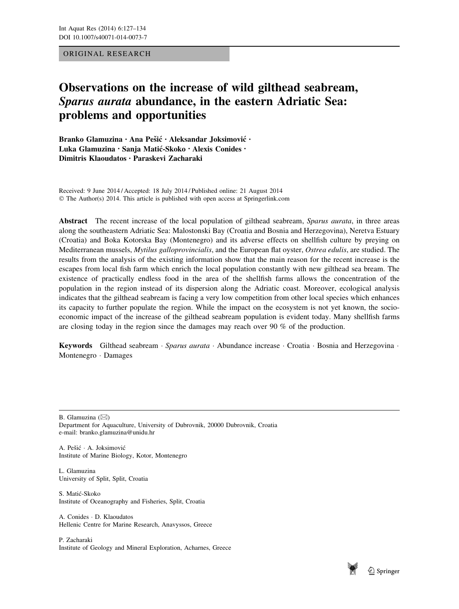ORIGINAL RESEARCH

# Observations on the increase of wild gilthead seabream, Sparus aurata abundance, in the eastern Adriatic Sea: problems and opportunities

Branko Glamuzina · Ana Pešić · Aleksandar Joksimović · Luka Glamuzina · Sanja Matić-Skoko · Alexis Conides · Dimitris Klaoudatos • Paraskevi Zacharaki

Received: 9 June 2014 / Accepted: 18 July 2014 / Published online: 21 August 2014 © The Author(s) 2014. This article is published with open access at Springerlink.com

Abstract The recent increase of the local population of gilthead seabream, Sparus aurata, in three areas along the southeastern Adriatic Sea: Malostonski Bay (Croatia and Bosnia and Herzegovina), Neretva Estuary (Croatia) and Boka Kotorska Bay (Montenegro) and its adverse effects on shellfish culture by preying on Mediterranean mussels, Mytilus galloprovincialis, and the European flat oyster, Ostrea edulis, are studied. The results from the analysis of the existing information show that the main reason for the recent increase is the escapes from local fish farm which enrich the local population constantly with new gilthead sea bream. The existence of practically endless food in the area of the shellfish farms allows the concentration of the population in the region instead of its dispersion along the Adriatic coast. Moreover, ecological analysis indicates that the gilthead seabream is facing a very low competition from other local species which enhances its capacity to further populate the region. While the impact on the ecosystem is not yet known, the socioeconomic impact of the increase of the gilthead seabream population is evident today. Many shellfish farms are closing today in the region since the damages may reach over 90 % of the production.

Keywords Gilthead seabream · Sparus aurata · Abundance increase · Croatia · Bosnia and Herzegovina · Montenegro - Damages

B. Glamuzina  $(\boxtimes)$ Department for Aquaculture, University of Dubrovnik, 20000 Dubrovnik, Croatia e-mail: branko.glamuzina@unidu.hr

A. Pešić · A. Joksimović Institute of Marine Biology, Kotor, Montenegro

L. Glamuzina University of Split, Split, Croatia

S. Matic´-Skoko Institute of Oceanography and Fisheries, Split, Croatia

A. Conides - D. Klaoudatos Hellenic Centre for Marine Research, Anavyssos, Greece

P. Zacharaki Institute of Geology and Mineral Exploration, Acharnes, Greece

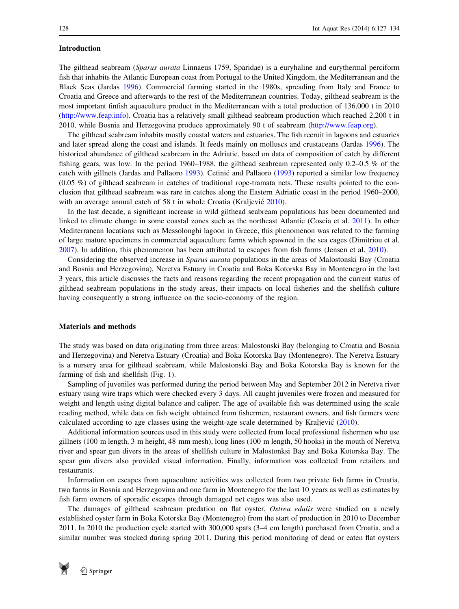#### Introduction

The gilthead seabream (Sparus aurata Linnaeus 1759, Sparidae) is a euryhaline and eurythermal perciform fish that inhabits the Atlantic European coast from Portugal to the United Kingdom, the Mediterranean and the Black Seas (Jardas [1996\)](#page-7-0). Commercial farming started in the 1980s, spreading from Italy and France to Croatia and Greece and afterwards to the rest of the Mediterranean countries. Today, gilthead seabream is the most important finfish aquaculture product in the Mediterranean with a total production of 136,000 t in 2010 ([http://www.feap.info\)](http://www.feap.info). Croatia has a relatively small gilthead seabream production which reached 2,200 t in 2010, while Bosnia and Herzegovina produce approximately 90 t of seabream ([http://www.feap.org\)](http://www.feap.org).

The gilthead seabream inhabits mostly coastal waters and estuaries. The fish recruit in lagoons and estuaries and later spread along the coast and islands. It feeds mainly on molluscs and crustaceans (Jardas [1996](#page-7-0)). The historical abundance of gilthead seabream in the Adriatic, based on data of composition of catch by different fishing gears, was low. In the period 1960–1988, the gilthead seabream represented only 0.2–0.5 % of the catch with gillnets (Jardas and Pallaoro [1993](#page-7-0)). Cetinic´ and Pallaoro ([1993\)](#page-7-0) reported a similar low frequency (0.05 %) of gilthead seabream in catches of traditional rope-tramata nets. These results pointed to the conclusion that gilthead seabream was rare in catches along the Eastern Adriatic coast in the period 1960–2000, with an average annual catch of 58 t in whole Croatia (Kraljević [2010](#page-7-0)).

In the last decade, a significant increase in wild gilthead seabream populations has been documented and linked to climate change in some coastal zones such as the northeast Atlantic (Coscia et al. [2011](#page-7-0)). In other Mediterranean locations such as Messolonghi lagoon in Greece, this phenomenon was related to the farming of large mature specimens in commercial aquaculture farms which spawned in the sea cages (Dimitriou et al. [2007](#page-7-0)). In addition, this phenomenon has been attributed to escapes from fish farms (Jensen et al. [2010\)](#page-7-0).

Considering the observed increase in Sparus aurata populations in the areas of Malostonski Bay (Croatia and Bosnia and Herzegovina), Neretva Estuary in Croatia and Boka Kotorska Bay in Montenegro in the last 3 years, this article discusses the facts and reasons regarding the recent propagation and the current status of gilthead seabream populations in the study areas, their impacts on local fisheries and the shellfish culture having consequently a strong influence on the socio-economy of the region.

## Materials and methods

The study was based on data originating from three areas: Malostonski Bay (belonging to Croatia and Bosnia and Herzegovina) and Neretva Estuary (Croatia) and Boka Kotorska Bay (Montenegro). The Neretva Estuary is a nursery area for gilthead seabream, while Malostonski Bay and Boka Kotorska Bay is known for the farming of fish and shellfish (Fig. [1\)](#page-2-0).

Sampling of juveniles was performed during the period between May and September 2012 in Neretva river estuary using wire traps which were checked every 3 days. All caught juveniles were frozen and measured for weight and length using digital balance and caliper. The age of available fish was determined using the scale reading method, while data on fish weight obtained from fishermen, restaurant owners, and fish farmers were calculated according to age classes using the weight-age scale determined by Kraljević [\(2010](#page-7-0)).

Additional information sources used in this study were collected from local professional fishermen who use gillnets (100 m length, 3 m height, 48 mm mesh), long lines (100 m length, 50 hooks) in the mouth of Neretva river and spear gun divers in the areas of shellfish culture in Malostonksi Bay and Boka Kotorska Bay. The spear gun divers also provided visual information. Finally, information was collected from retailers and restaurants.

Information on escapes from aquaculture activities was collected from two private fish farms in Croatia, two farms in Bosnia and Herzegovina and one farm in Montenegro for the last 10 years as well as estimates by fish farm owners of sporadic escapes through damaged net cages was also used.

The damages of gilthead seabream predation on flat oyster, Ostrea edulis were studied on a newly established oyster farm in Boka Kotorska Bay (Montenegro) from the start of production in 2010 to December 2011. In 2010 the production cycle started with 300,000 spats (3–4 cm length) purchased from Croatia, and a similar number was stocked during spring 2011. During this period monitoring of dead or eaten flat oysters

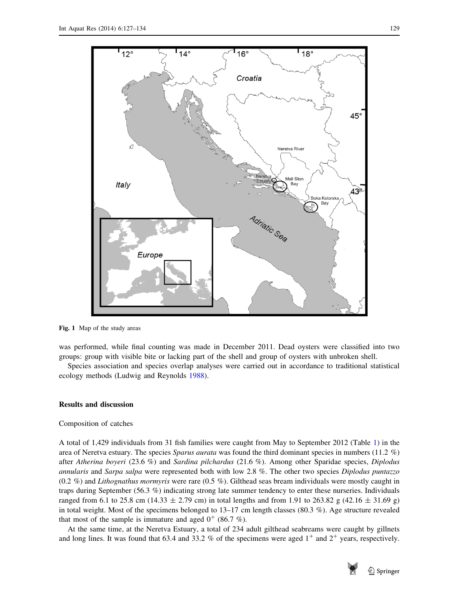<span id="page-2-0"></span>

Fig. 1 Map of the study areas

was performed, while final counting was made in December 2011. Dead oysters were classified into two groups: group with visible bite or lacking part of the shell and group of oysters with unbroken shell.

Species association and species overlap analyses were carried out in accordance to traditional statistical ecology methods (Ludwig and Reynolds [1988](#page-7-0)).

### Results and discussion

## Composition of catches

A total of 1,429 individuals from 31 fish families were caught from May to September 2012 (Table [1](#page-3-0)) in the area of Neretva estuary. The species *Sparus aurata* was found the third dominant species in numbers (11.2 %) after Atherina boyeri (23.6 %) and Sardina pilchardus (21.6 %). Among other Sparidae species, Diplodus annularis and Sarpa salpa were represented both with low 2.8 %. The other two species Diplodus puntazzo  $(0.2 \%)$  and Lithognathus mormyris were rare  $(0.5 \%)$ . Gilthead seas bream individuals were mostly caught in traps during September (56.3 %) indicating strong late summer tendency to enter these nurseries. Individuals ranged from 6.1 to 25.8 cm (14.33  $\pm$  2.79 cm) in total lengths and from 1.91 to 263.82 g (42.16  $\pm$  31.69 g) in total weight. Most of the specimens belonged to 13–17 cm length classes (80.3 %). Age structure revealed that most of the sample is immature and aged  $0^+$  (86.7 %).

At the same time, at the Neretva Estuary, a total of 234 adult gilthead seabreams were caught by gillnets and long lines. It was found that 63.4 and 33.2 % of the specimens were aged  $1^+$  and  $2^+$  years, respectively.

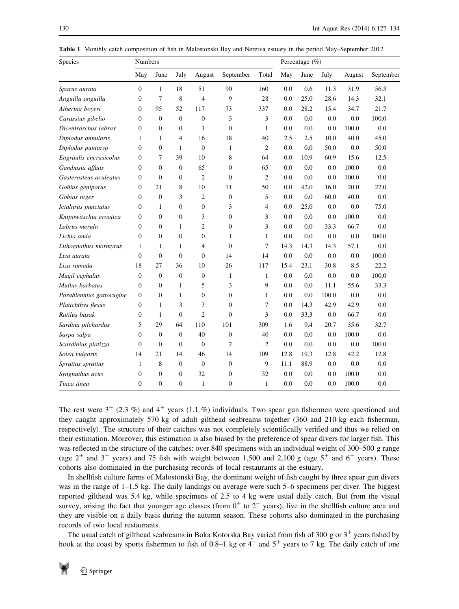| Species                  | <b>Numbers</b>   |                  |                  |                  |                  |                | Percentage (%) |      |       |        |           |
|--------------------------|------------------|------------------|------------------|------------------|------------------|----------------|----------------|------|-------|--------|-----------|
|                          | May              | June             | July             | August           | September        | Total          | May            | June | July  | August | September |
| Sparus aurata            | $\boldsymbol{0}$ | $\mathbf{1}$     | 18               | 51               | 90               | 160            | 0.0            | 0.6  | 11.3  | 31.9   | 56.3      |
| Anguilla anguilla        | $\mathbf{0}$     | 7                | 8                | $\overline{4}$   | 9                | 28             | 0.0            | 25.0 | 28.6  | 14.3   | 32.1      |
| Atherina boyeri          | 0                | 95               | 52               | 117              | 73               | 337            | 0.0            | 28.2 | 15.4  | 34.7   | 21.7      |
| Carassius gibelio        | $\overline{0}$   | $\boldsymbol{0}$ | $\boldsymbol{0}$ | $\boldsymbol{0}$ | 3                | 3              | 0.0            | 0.0  | 0.0   | 0.0    | 100.0     |
| Dicentrarchus labrax     | $\overline{0}$   | $\boldsymbol{0}$ | $\mathbf{0}$     | $\mathbf{1}$     | $\theta$         | $\mathbf{1}$   | 0.0            | 0.0  | 0.0   | 100.0  | 0.0       |
| Diplodus annularis       | 1                | 1                | $\overline{4}$   | 16               | 18               | 40             | 2.5            | 2.5  | 10.0  | 40.0   | 45.0      |
| Diplodus puntazzo        | $\boldsymbol{0}$ | $\boldsymbol{0}$ | $\mathbf{1}$     | $\overline{0}$   | $\mathbf{1}$     | $\overline{2}$ | 0.0            | 0.0  | 50.0  | 0.0    | 50.0      |
| Engraulis encrasicolus   | $\overline{0}$   | 7                | 39               | 10               | 8                | 64             | 0.0            | 10.9 | 60.9  | 15.6   | 12.5      |
| Gambusia affinis         | $\boldsymbol{0}$ | $\boldsymbol{0}$ | $\boldsymbol{0}$ | 65               | $\boldsymbol{0}$ | 65             | 0.0            | 0.0  | 0.0   | 100.0  | 0.0       |
| Gasterosteus aculeatus   | $\overline{0}$   | $\boldsymbol{0}$ | $\mathbf{0}$     | $\overline{2}$   | $\overline{0}$   | $\overline{2}$ | 0.0            | 0.0  | 0.0   | 100.0  | 0.0       |
| Gobius geniporus         | $\mathbf{0}$     | 21               | 8                | 10               | 11               | 50             | 0.0            | 42.0 | 16.0  | 20.0   | 22.0      |
| Gobius niger             | 0                | $\boldsymbol{0}$ | 3                | 2                | $\mathbf{0}$     | 5              | 0.0            | 0.0  | 60.0  | 40.0   | 0.0       |
| Ictalurus punctatus      | $\boldsymbol{0}$ | $\mathbf{1}$     | $\boldsymbol{0}$ | $\boldsymbol{0}$ | 3                | $\overline{4}$ | 0.0            | 25.0 | 0.0   | 0.0    | 75.0      |
| Knipowitschia croatica   | $\overline{0}$   | $\boldsymbol{0}$ | $\mathbf{0}$     | 3                | $\overline{0}$   | 3              | 0.0            | 0.0  | 0.0   | 100.0  | 0.0       |
| Labrus merula            | $\boldsymbol{0}$ | $\boldsymbol{0}$ | 1                | $\overline{2}$   | $\boldsymbol{0}$ | 3              | 0.0            | 0.0  | 33.3  | 66.7   | 0.0       |
| Lichia amia              | $\mathbf{0}$     | $\boldsymbol{0}$ | $\boldsymbol{0}$ | $\boldsymbol{0}$ | 1                | $\mathbf{1}$   | 0.0            | 0.0  | 0.0   | 0.0    | 100.0     |
| Lithognathus mormyrus    | $\mathbf{1}$     | 1                | 1                | 4                | $\overline{0}$   | 7              | 14.3           | 14.3 | 14.3  | 57.1   | 0.0       |
| Liza aurata              | $\overline{0}$   | $\boldsymbol{0}$ | $\boldsymbol{0}$ | $\overline{0}$   | 14               | 14             | 0.0            | 0.0  | 0.0   | 0.0    | 100.0     |
| Liza ramada              | 18               | 27               | 36               | 10               | 26               | 117            | 15.4           | 23.1 | 30.8  | 8.5    | 22.2      |
| Mugil cephalus           | $\boldsymbol{0}$ | $\boldsymbol{0}$ | $\mathbf{0}$     | $\boldsymbol{0}$ | 1                | 1              | 0.0            | 0.0  | 0.0   | 0.0    | 100.0     |
| Mullus barbatus          | $\boldsymbol{0}$ | $\boldsymbol{0}$ | $\mathbf{1}$     | 5                | 3                | 9              | 0.0            | 0.0  | 11.1  | 55.6   | 33.3      |
| Parablennius gattorugine | $\mathbf{0}$     | $\boldsymbol{0}$ | $\mathbf{1}$     | $\mathbf{0}$     | $\mathbf{0}$     | $\mathbf{1}$   | 0.0            | 0.0  | 100.0 | 0.0    | 0.0       |
| Platichthys flesus       | $\overline{0}$   | 1                | 3                | 3                | $\overline{0}$   | 7              | 0.0            | 14.3 | 42.9  | 42.9   | 0.0       |
| Rutilus basak            | $\boldsymbol{0}$ | 1                | $\mathbf{0}$     | $\overline{2}$   | $\overline{0}$   | 3              | 0.0            | 33.3 | 0.0   | 66.7   | 0.0       |
| Sardina pilchardus       | 5                | 29               | 64               | 110              | 101              | 309            | 1.6            | 9.4  | 20.7  | 35.6   | 32.7      |
| Sarpa salpa              | $\mathbf{0}$     | $\boldsymbol{0}$ | $\boldsymbol{0}$ | 40               | $\boldsymbol{0}$ | 40             | 0.0            | 0.0  | 0.0   | 100.0  | 0.0       |
| Scardinius plotizza      | $\boldsymbol{0}$ | $\boldsymbol{0}$ | $\boldsymbol{0}$ | $\boldsymbol{0}$ | $\overline{c}$   | $\overline{c}$ | 0.0            | 0.0  | 0.0   | 0.0    | 100.0     |
| Solea vulgaris           | 14               | 21               | 14               | 46               | 14               | 109            | 12.8           | 19.3 | 12.8  | 42.2   | 12.8      |
| Sprattus sprattus        | $\mathbf{1}$     | 8                | $\mathbf{0}$     | $\mathbf{0}$     | $\mathbf{0}$     | 9              | 11.1           | 88.9 | 0.0   | 0.0    | 0.0       |
| Syngnathus acus          | $\boldsymbol{0}$ | $\boldsymbol{0}$ | $\boldsymbol{0}$ | 32               | $\boldsymbol{0}$ | 32             | 0.0            | 0.0  | 0.0   | 100.0  | 0.0       |
| Tinca tinca              | $\mathbf{0}$     | $\boldsymbol{0}$ | $\overline{0}$   | 1                | $\mathbf{0}$     | 1              | 0.0            | 0.0  | 0.0   | 100.0  | 0.0       |

<span id="page-3-0"></span>Table 1 Monthly catch composition of fish in Malostonski Bay and Neretva estuary in the period May–September 2012

The rest were  $3^+$  (2.3 %) and  $4^+$  years (1.1 %) individuals. Two spear gun fishermen were questioned and they caught approximately 570 kg of adult gilthead seabreams together (360 and 210 kg each fisherman, respectively). The structure of their catches was not completely scientifically verified and thus we relied on their estimation. Moreover, this estimation is also biased by the preference of spear divers for larger fish. This was reflected in the structure of the catches: over 840 specimens with an individual weight of 300–500 g range (age  $2^+$  and  $3^+$  years) and 75 fish with weight between 1,500 and 2,100 g (age  $5^+$  and  $6^+$  years). These cohorts also dominated in the purchasing records of local restaurants at the estuary.

In shellfish culture farms of Malostonski Bay, the dominant weight of fish caught by three spear gun divers was in the range of 1–1.5 kg. The daily landings on average were such 5–6 specimens per diver. The biggest reported gilthead was 5.4 kg, while specimens of 2.5 to 4 kg were usual daily catch. But from the visual survey, arising the fact that younger age classes (from  $0^+$  to  $2^+$  years), live in the shellfish culture area and they are visible on a daily basis during the autumn season. These cohorts also dominated in the purchasing records of two local restaurants.

The usual catch of gilthead seabreams in Boka Kotorska Bay varied from fish of 300 g or  $3<sup>+</sup>$  years fished by hook at the coast by sports fishermen to fish of 0.8–1 kg or  $4^+$  and  $5^+$  years to 7 kg. The daily catch of one

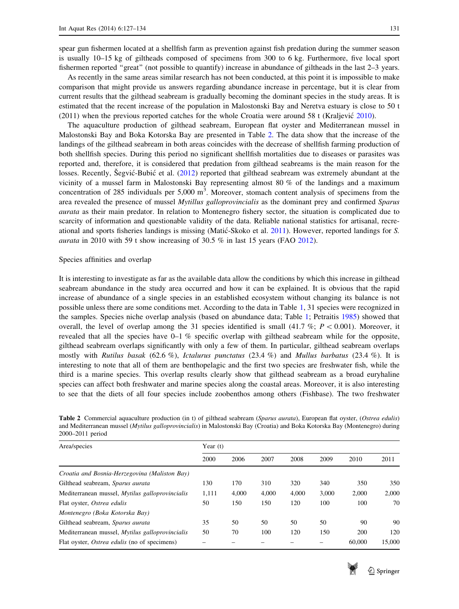As recently in the same areas similar research has not been conducted, at this point it is impossible to make comparison that might provide us answers regarding abundance increase in percentage, but it is clear from current results that the gilthead seabream is gradually becoming the dominant species in the study areas. It is estimated that the recent increase of the population in Malostonski Bay and Neretva estuary is close to 50 t (2011) when the previous reported catches for the whole Croatia were around 58 t (Kraljevic´ [2010\)](#page-7-0).

The aquaculture production of gilthead seabream, European flat oyster and Mediterranean mussel in Malostonski Bay and Boka Kotorska Bay are presented in Table 2. The data show that the increase of the landings of the gilthead seabream in both areas coincides with the decrease of shellfish farming production of both shellfish species. During this period no significant shellfish mortalities due to diseases or parasites was reported and, therefore, it is considered that predation from gilthead seabreams is the main reason for the losses. Recently, Segvic-Bubic´ et al. [\(2012](#page-7-0)) reported that gilthead seabream was extremely abundant at the vicinity of a mussel farm in Malostonski Bay representing almost 80 % of the landings and a maximum concentration of 285 individuals per  $5,000 \text{ m}^3$ . Moreover, stomach content analysis of specimens from the area revealed the presence of mussel *Mytillus galloprovincialis* as the dominant prey and confirmed *Sparus* aurata as their main predator. In relation to Montenegro fishery sector, the situation is complicated due to scarcity of information and questionable validity of the data. Reliable national statistics for artisanal, recre-ational and sports fisheries landings is missing (Matic-Skoko et al. [2011](#page-7-0)). However, reported landings for S. *aurata* in 2010 with 59 t show increasing of 30.5  $\%$  in last 15 years (FAO [2012\)](#page-7-0).

#### Species affinities and overlap

It is interesting to investigate as far as the available data allow the conditions by which this increase in gilthead seabream abundance in the study area occurred and how it can be explained. It is obvious that the rapid increase of abundance of a single species in an established ecosystem without changing its balance is not possible unless there are some conditions met. According to the data in Table [1](#page-3-0), 31 species were recognized in the samples. Species niche overlap analysis (based on abundance data; Table [1;](#page-3-0) Petraitis [1985](#page-7-0)) showed that overall, the level of overlap among the 31 species identified is small (41.7 %;  $P \lt 0.001$ ). Moreover, it revealed that all the species have 0–1 % specific overlap with gilthead seabream while for the opposite, gilthead seabream overlaps significantly with only a few of them. In particular, gilthead seabream overlaps mostly with Rutilus basak (62.6 %), Ictalurus punctatus (23.4 %) and Mullus barbatus (23.4 %). It is interesting to note that all of them are benthopelagic and the first two species are freshwater fish, while the third is a marine species. This overlap results clearly show that gilthead seabream as a broad euryhaline species can affect both freshwater and marine species along the coastal areas. Moreover, it is also interesting to see that the diets of all four species include zoobenthos among others (Fishbase). The two freshwater

Table 2 Commercial aquaculture production (in t) of gilthead seabream (Sparus aurata), European flat oyster, (Ostrea edulis) and Mediterranean mussel (Mytilus galloprovincialis) in Malostonski Bay (Croatia) and Boka Kotorska Bay (Montenegro) during 2000–2011 period

| Area/species                                        | Year $(t)$ |       |       |       |       |        |        |  |  |
|-----------------------------------------------------|------------|-------|-------|-------|-------|--------|--------|--|--|
|                                                     | 2000       | 2006  | 2007  | 2008  | 2009  | 2010   | 2011   |  |  |
| Croatia and Bosnia-Herzegovina (Maliston Bay)       |            |       |       |       |       |        |        |  |  |
| Gilthead seabream, Sparus aurata                    | 130        | 170   | 310   | 320   | 340   | 350    | 350    |  |  |
| Mediterranean mussel, Mytilus galloprovincialis     | 1,111      | 4.000 | 4.000 | 4.000 | 3,000 | 2.000  | 2.000  |  |  |
| Flat oyster, Ostrea edulis                          | 50         | 150   | 150   | 120   | 100   | 100    | 70     |  |  |
| Montenegro (Boka Kotorska Bay)                      |            |       |       |       |       |        |        |  |  |
| Gilthead seabream, Sparus aurata                    | 35         | 50    | 50    | 50    | 50    | 90     | 90     |  |  |
| Mediterranean mussel, Mytilus galloprovincialis     | 50         | 70    | 100   | 120   | 150   | 200    | 120    |  |  |
| Flat oyster, <i>Ostrea edulis</i> (no of specimens) |            |       |       |       |       | 60,000 | 15,000 |  |  |

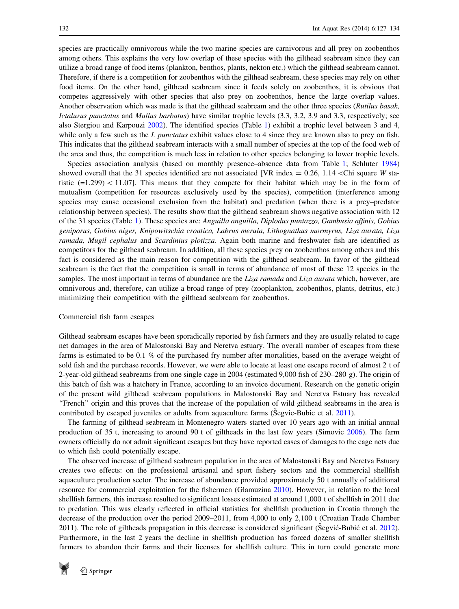species are practically omnivorous while the two marine species are carnivorous and all prey on zoobenthos among others. This explains the very low overlap of these species with the gilthead seabream since they can utilize a broad range of food items (plankton, benthos, plants, nekton etc.) which the gilthead seabream cannot. Therefore, if there is a competition for zoobenthos with the gilthead seabream, these species may rely on other food items. On the other hand, gilthead seabream since it feeds solely on zoobenthos, it is obvious that competes aggressively with other species that also prey on zoobenthos, hence the large overlap values. Another observation which was made is that the gilthead seabream and the other three species (Rutilus basak, Ictalurus punctatus and Mullus barbatus) have similar trophic levels (3.3, 3.2, 3.9 and 3.3, respectively; see also Stergiou and Karpouzi [2002\)](#page-7-0). The identified species (Table [1\)](#page-3-0) exhibit a trophic level between 3 and 4, while only a few such as the *I. punctatus* exhibit values close to 4 since they are known also to prey on fish. This indicates that the gilthead seabream interacts with a small number of species at the top of the food web of the area and thus, the competition is much less in relation to other species belonging to lower trophic levels.

Species association analysis (based on monthly presence–absence data from Table [1](#page-3-0); Schluter [1984](#page-7-0)) showed overall that the 31 species identified are not associated [VR index  $= 0.26$ , 1.14 <Chi square W statistic  $(=1.299) < 11.07$ . This means that they compete for their habitat which may be in the form of mutualism (competition for resources exclusively used by the species), competition (interference among species may cause occasional exclusion from the habitat) and predation (when there is a prey–predator relationship between species). The results show that the gilthead seabream shows negative association with 12 of the 31 species (Table [1\)](#page-3-0). These species are: Anguilla anguilla, Diplodus puntazzo, Gambusia affinis, Gobius geniporus, Gobius niger, Knipowitschia croatica, Labrus merula, Lithognathus mormyrus, Liza aurata, Liza ramada, Mugil cephalus and Scardinius plotizza. Again both marine and freshwater fish are identified as competitors for the gilthead seabream. In addition, all these species prey on zoobenthos among others and this fact is considered as the main reason for competition with the gilthead seabream. In favor of the gilthead seabream is the fact that the competition is small in terms of abundance of most of these 12 species in the samples. The most important in terms of abundance are the Liza ramada and Liza aurata which, however, are omnivorous and, therefore, can utilize a broad range of prey (zooplankton, zoobenthos, plants, detritus, etc.) minimizing their competition with the gilthead seabream for zoobenthos.

#### Commercial fish farm escapes

Gilthead seabream escapes have been sporadically reported by fish farmers and they are usually related to cage net damages in the area of Malostonski Bay and Neretva estuary. The overall number of escapes from these farms is estimated to be 0.1 % of the purchased fry number after mortalities, based on the average weight of sold fish and the purchase records. However, we were able to locate at least one escape record of almost 2 t of 2-year-old gilthead seabreams from one single cage in 2004 (estimated 9,000 fish of 230–280 g). The origin of this batch of fish was a hatchery in France, according to an invoice document. Research on the genetic origin of the present wild gilthead seabream populations in Malostonski Bay and Neretva Estuary has revealed ''French'' origin and this proves that the increase of the population of wild gilthead seabreams in the area is contributed by escaped juveniles or adults from aquaculture farms (Segvic-Bubic et al. [2011\)](#page-7-0).

The farming of gilthead seabream in Montenegro waters started over 10 years ago with an initial annual production of 35 t, increasing to around 90 t of giltheads in the last few years (Simovic [2006](#page-7-0)). The farm owners officially do not admit significant escapes but they have reported cases of damages to the cage nets due to which fish could potentially escape.

The observed increase of gilthead seabream population in the area of Malostonski Bay and Neretva Estuary creates two effects: on the professional artisanal and sport fishery sectors and the commercial shellfish aquaculture production sector. The increase of abundance provided approximately 50 t annually of additional resource for commercial exploitation for the fishermen (Glamuzina [2010](#page-7-0)). However, in relation to the local shellfish farmers, this increase resulted to significant losses estimated at around 1,000 t of shellfish in 2011 due to predation. This was clearly reflected in official statistics for shellfish production in Croatia through the decrease of the production over the period 2009–2011, from 4,000 to only 2,100 t (Croatian Trade Chamber  $2011$ ). The role of giltheads propagation in this decrease is considered significant (Segvic-Bubic $et$  et al.  $2012$ ). Furthermore, in the last 2 years the decline in shellfish production has forced dozens of smaller shellfish farmers to abandon their farms and their licenses for shellfish culture. This in turn could generate more

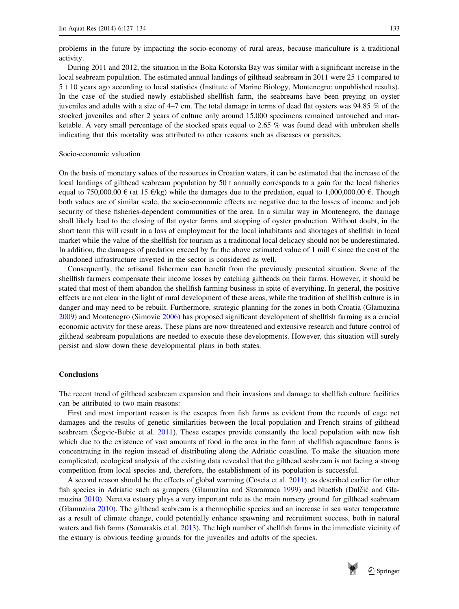During 2011 and 2012, the situation in the Boka Kotorska Bay was similar with a significant increase in the local seabream population. The estimated annual landings of gilthead seabream in 2011 were 25 t compared to 5 t 10 years ago according to local statistics (Institute of Marine Biology, Montenegro: unpublished results). In the case of the studied newly established shellfish farm, the seabreams have been preying on oyster juveniles and adults with a size of 4–7 cm. The total damage in terms of dead flat oysters was 94.85 % of the stocked juveniles and after 2 years of culture only around 15,000 specimens remained untouched and marketable. A very small percentage of the stocked spats equal to 2.65 % was found dead with unbroken shells indicating that this mortality was attributed to other reasons such as diseases or parasites.

## Socio-economic valuation

On the basis of monetary values of the resources in Croatian waters, it can be estimated that the increase of the local landings of gilthead seabream population by 50 t annually corresponds to a gain for the local fisheries equal to 750,000.00  $\epsilon$  (at 15  $\epsilon$ /kg) while the damages due to the predation, equal to 1,000,000.00  $\epsilon$ . Though both values are of similar scale, the socio-economic effects are negative due to the losses of income and job security of these fisheries-dependent communities of the area. In a similar way in Montenegro, the damage shall likely lead to the closing of flat oyster farms and stopping of oyster production. Without doubt, in the short term this will result in a loss of employment for the local inhabitants and shortages of shellfish in local market while the value of the shellfish for tourism as a traditional local delicacy should not be underestimated. In addition, the damages of predation exceed by far the above estimated value of 1 mill  $\epsilon$  since the cost of the abandoned infrastructure invested in the sector is considered as well.

Consequently, the artisanal fishermen can benefit from the previously presented situation. Some of the shellfish farmers compensate their income losses by catching giltheads on their farms. However, it should be stated that most of them abandon the shellfish farming business in spite of everything. In general, the positive effects are not clear in the light of rural development of these areas, while the tradition of shellfish culture is in danger and may need to be rebuilt. Furthermore, strategic planning for the zones in both Croatia (Glamuzina [2009](#page-7-0)) and Montenegro (Simovic [2006\)](#page-7-0) has proposed significant development of shellfish farming as a crucial economic activity for these areas. These plans are now threatened and extensive research and future control of gilthead seabream populations are needed to execute these developments. However, this situation will surely persist and slow down these developmental plans in both states.

### **Conclusions**

The recent trend of gilthead seabream expansion and their invasions and damage to shellfish culture facilities can be attributed to two main reasons:

First and most important reason is the escapes from fish farms as evident from the records of cage net damages and the results of genetic similarities between the local population and French strains of gilthead seabream (Segvic-Bubic et al. [2011\)](#page-7-0). These escapes provide constantly the local population with new fish which due to the existence of vast amounts of food in the area in the form of shellfish aquaculture farms is concentrating in the region instead of distributing along the Adriatic coastline. To make the situation more complicated, ecological analysis of the existing data revealed that the gilthead seabream is not facing a strong competition from local species and, therefore, the establishment of its population is successful.

A second reason should be the effects of global warming (Coscia et al. [2011](#page-7-0)), as described earlier for other fish species in Adriatic such as groupers (Glamuzina and Skaramuca [1999](#page-7-0)) and bluefish (Dulčić and Glamuzina [2010](#page-7-0)). Neretva estuary plays a very important role as the main nursery ground for gilthead seabream (Glamuzina [2010\)](#page-7-0). The gilthead seabream is a thermophilic species and an increase in sea water temperature as a result of climate change, could potentially enhance spawning and recruitment success, both in natural waters and fish farms (Somarakis et al. [2013\)](#page-7-0). The high number of shellfish farms in the immediate vicinity of the estuary is obvious feeding grounds for the juveniles and adults of the species.